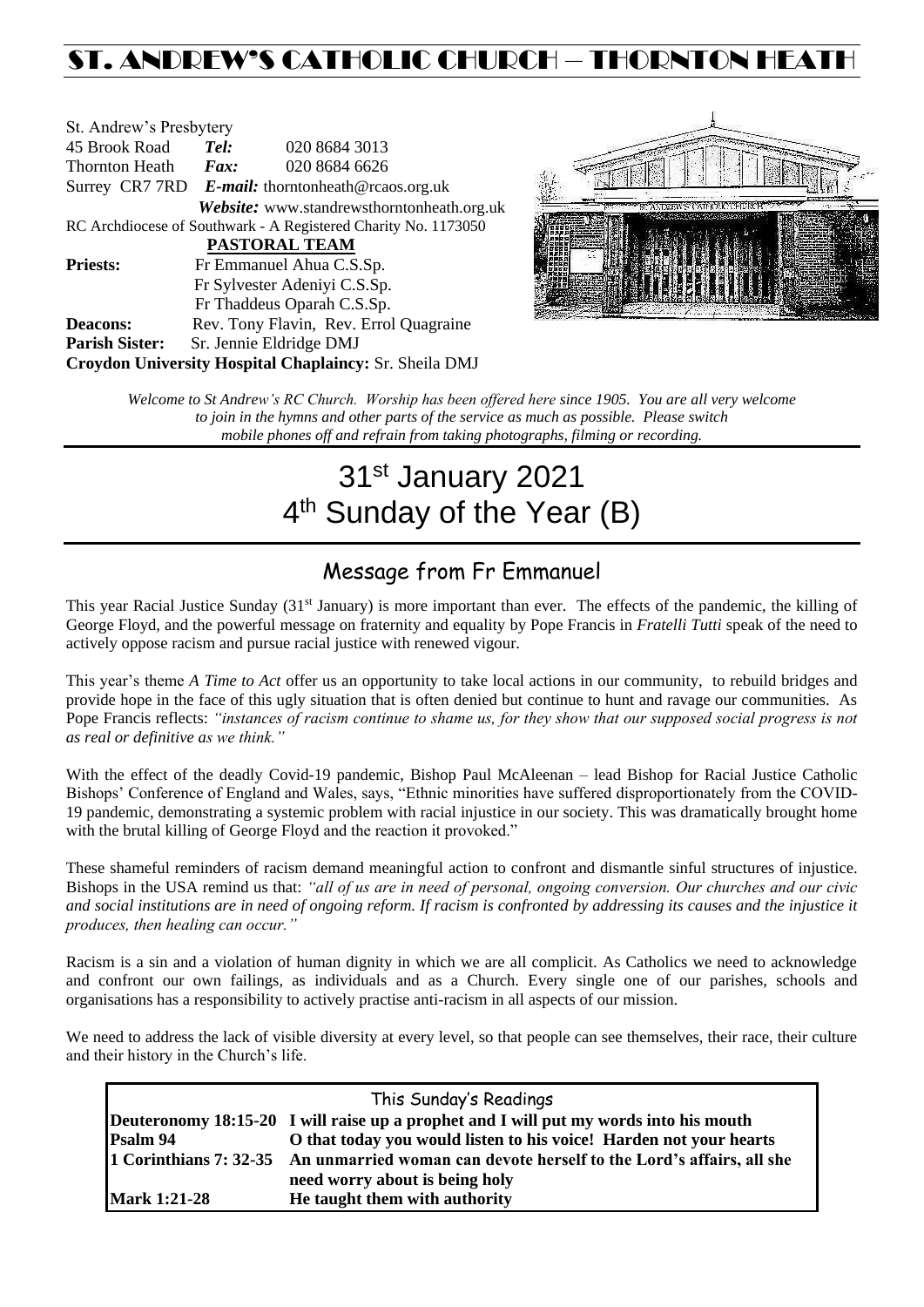## ST. ANDREW'S CATHOLIC CHURCH – THORNTON HEAT

| St. Andrew's Presbytery                                        |                                                      |                                            |  |  |  |
|----------------------------------------------------------------|------------------------------------------------------|--------------------------------------------|--|--|--|
| 45 Brook Road                                                  | Tel:                                                 | 020 8684 3013                              |  |  |  |
| Thornton Heath                                                 | $\boldsymbol{Fax:}$                                  | 020 8684 6626                              |  |  |  |
|                                                                | Surrey CR7 7RD $E$ -mail: thorntonheath@rcaos.org.uk |                                            |  |  |  |
|                                                                |                                                      | Website: www.standrewsthorntonheath.org.uk |  |  |  |
| RC Archdiocese of Southwark - A Registered Charity No. 1173050 |                                                      |                                            |  |  |  |
| <b>PASTORAL TEAM</b>                                           |                                                      |                                            |  |  |  |
| <b>Priests:</b>                                                |                                                      | Fr Emmanuel Ahua C.S.Sp.                   |  |  |  |
|                                                                | Fr Sylvester Adeniyi C.S.Sp.                         |                                            |  |  |  |
|                                                                |                                                      | Fr Thaddeus Oparah C.S.Sp.                 |  |  |  |
| <b>Deacons:</b>                                                |                                                      | Rev. Tony Flavin, Rev. Errol Quagraine     |  |  |  |
| <b>Parish Sister:</b>                                          | Sr. Jennie Eldridge DMJ                              |                                            |  |  |  |
| Croydon University Hospital Chaplaincy: Sr. Sheila DMJ         |                                                      |                                            |  |  |  |



*Welcome to St Andrew's RC Church. Worship has been offered here since 1905. You are all very welcome to join in the hymns and other parts of the service as much as possible. Please switch mobile phones off and refrain from taking photographs, filming or recording.*

# 31st January 2021 4<sup>th</sup> Sunday of the Year (B)

### Message from Fr Emmanuel

This year Racial Justice Sunday  $(31<sup>st</sup> January)$  is more important than ever. The effects of the pandemic, the killing of George Floyd, and the powerful message on fraternity and equality by Pope Francis in *Fratelli Tutti* speak of the need to actively oppose racism and pursue racial justice with renewed vigour.

This year's theme *A Time to Act* offer us an opportunity to take local actions in our community, to rebuild bridges and provide hope in the face of this ugly situation that is often denied but continue to hunt and ravage our communities. As Pope Francis reflects: *"instances of racism continue to shame us, for they show that our supposed social progress is not as real or definitive as we think."*

With the effect of the deadly Covid-19 pandemic, Bishop Paul McAleenan – lead Bishop for Racial Justice Catholic Bishops' Conference of England and Wales, says, "Ethnic minorities have suffered disproportionately from the COVID-19 pandemic, demonstrating a systemic problem with racial injustice in our society. This was dramatically brought home with the brutal killing of George Floyd and the reaction it provoked."

These shameful reminders of racism demand meaningful action to confront and dismantle sinful structures of injustice. Bishops in the USA remind us that: *"all of us are in need of personal, ongoing conversion. Our churches and our civic and social institutions are in need of ongoing reform. If racism is confronted by addressing its causes and the injustice it produces, then healing can occur."*

Racism is a sin and a violation of human dignity in which we are all complicit. As Catholics we need to acknowledge and confront our own failings, as individuals and as a Church. Every single one of our parishes, schools and organisations has a responsibility to actively practise anti-racism in all aspects of our mission.

We need to address the lack of visible diversity at every level, so that people can see themselves, their race, their culture and their history in the Church's life.

| This Sunday's Readings |                                                                                             |  |  |  |
|------------------------|---------------------------------------------------------------------------------------------|--|--|--|
|                        | Deuteronomy 18:15-20 I will raise up a prophet and I will put my words into his mouth       |  |  |  |
| Psalm 94               | O that today you would listen to his voice! Harden not your hearts                          |  |  |  |
|                        | 1 Corinthians 7: 32-35 An unmarried woman can devote herself to the Lord's affairs, all she |  |  |  |
|                        | need worry about is being holy                                                              |  |  |  |
| <b>Mark 1:21-28</b>    | He taught them with authority                                                               |  |  |  |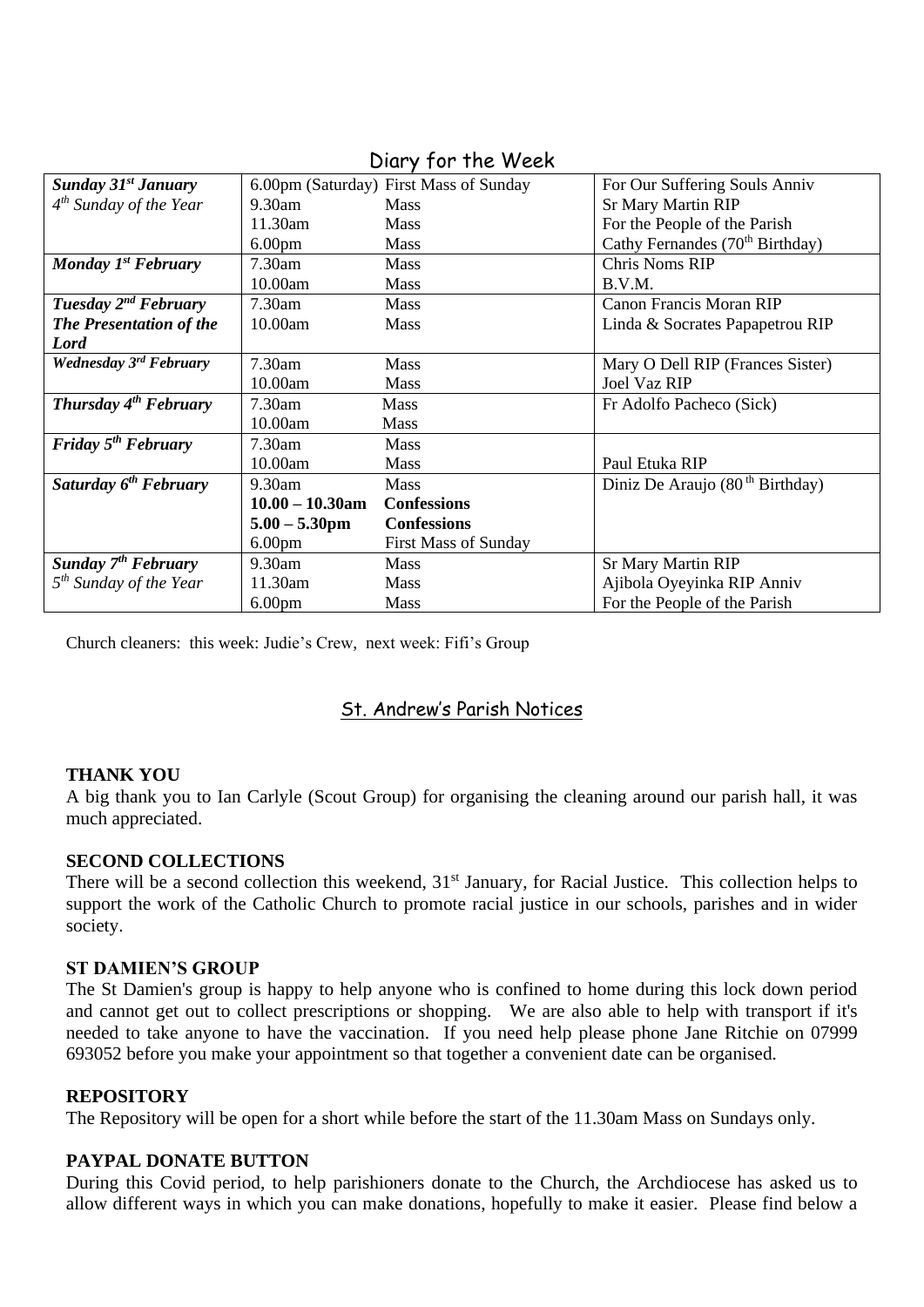| <b>Sunday 31st January</b>        |                    | 6.00pm (Saturday) First Mass of Sunday | For Our Suffering Souls Anniv               |
|-----------------------------------|--------------------|----------------------------------------|---------------------------------------------|
| $4^{th}$ Sunday of the Year       | $9.30$ am          | <b>Mass</b>                            | <b>Sr Mary Martin RIP</b>                   |
|                                   | 11.30am            | <b>Mass</b>                            | For the People of the Parish                |
|                                   | 6.00 <sub>pm</sub> | <b>Mass</b>                            | Cathy Fernandes (70 <sup>th</sup> Birthday) |
| Monday $1^{st}$ February          | $7.30$ am          | <b>Mass</b>                            | <b>Chris Noms RIP</b>                       |
|                                   | 10.00am            | Mass                                   | B.V.M.                                      |
| Tuesday 2 <sup>nd</sup> February  | 7.30am             | <b>Mass</b>                            | <b>Canon Francis Moran RIP</b>              |
| The Presentation of the           | 10.00am            | <b>Mass</b>                            | Linda & Socrates Papapetrou RIP             |
| Lord                              |                    |                                        |                                             |
| Wednesday 3rd February            | $7.30$ am          | <b>Mass</b>                            | Mary O Dell RIP (Frances Sister)            |
|                                   | 10.00am            | <b>Mass</b>                            | <b>Joel Vaz RIP</b>                         |
| Thursday 4 <sup>th</sup> February | 7.30am             | <b>Mass</b>                            | Fr Adolfo Pacheco (Sick)                    |
|                                   | 10.00am            | <b>Mass</b>                            |                                             |
| Friday $5th$ February             | $7.30$ am          | <b>Mass</b>                            |                                             |
|                                   | 10.00am            | Mass                                   | Paul Etuka RIP                              |
| Saturday 6 <sup>th</sup> February | 9.30am             | <b>Mass</b>                            | Diniz De Araujo $(80th Birthday)$           |
|                                   | $10.00 - 10.30$ am | <b>Confessions</b>                     |                                             |
|                                   | $5.00 - 5.30$ pm   | <b>Confessions</b>                     |                                             |
|                                   | 6.00 <sub>pm</sub> | <b>First Mass of Sunday</b>            |                                             |
| Sunday 7 <sup>th</sup> February   | 9.30am             | <b>Mass</b>                            | <b>Sr Mary Martin RIP</b>                   |
| $5th$ Sunday of the Year          | 11.30am            | Mass                                   | Ajibola Oyeyinka RIP Anniv                  |
|                                   | 6.00 <sub>pm</sub> | Mass                                   | For the People of the Parish                |

#### Diary for the Week

Church cleaners: this week: Judie's Crew, next week: Fifi's Group

#### St. Andrew's Parish Notices

#### **THANK YOU**

A big thank you to Ian Carlyle (Scout Group) for organising the cleaning around our parish hall, it was much appreciated.

#### **SECOND COLLECTIONS**

There will be a second collection this weekend, 31<sup>st</sup> January, for Racial Justice. This collection helps to support the work of the Catholic Church to promote racial justice in our schools, parishes and in wider society.

#### **ST DAMIEN'S GROUP**

The St Damien's group is happy to help anyone who is confined to home during this lock down period and cannot get out to collect prescriptions or shopping. We are also able to help with transport if it's needed to take anyone to have the vaccination. If you need help please phone Jane Ritchie on 07999 693052 before you make your appointment so that together a convenient date can be organised.

#### **REPOSITORY**

The Repository will be open for a short while before the start of the 11.30am Mass on Sundays only.

#### **PAYPAL DONATE BUTTON**

During this Covid period, to help parishioners donate to the Church, the Archdiocese has asked us to allow different ways in which you can make donations, hopefully to make it easier. Please find below a